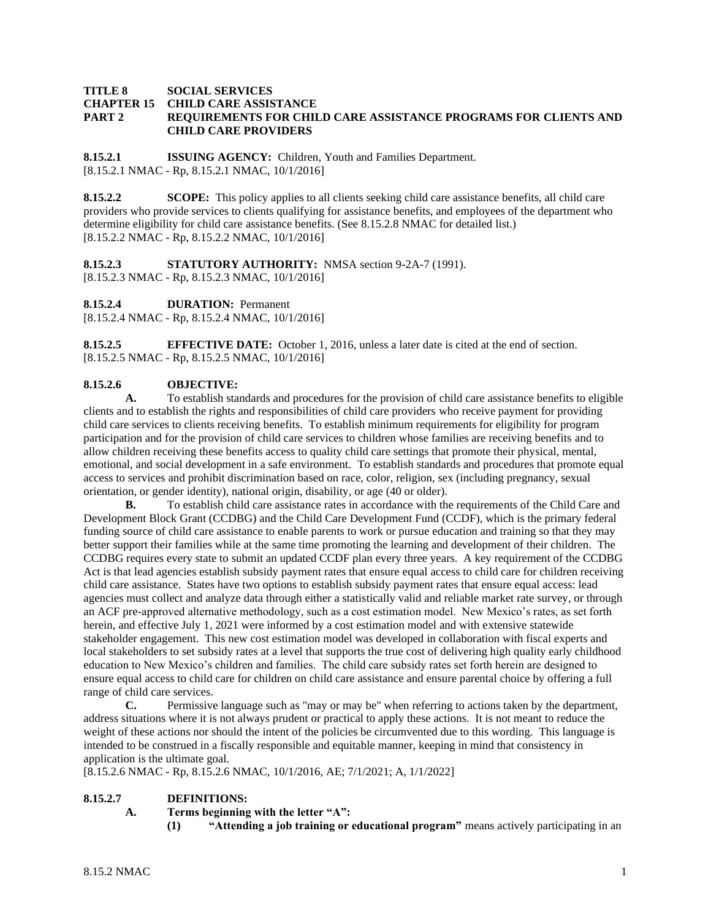### **TITLE 8 SOCIAL SERVICES CHAPTER 15 CHILD CARE ASSISTANCE PART 2 REQUIREMENTS FOR CHILD CARE ASSISTANCE PROGRAMS FOR CLIENTS AND CHILD CARE PROVIDERS**

**8.15.2.1 ISSUING AGENCY:** Children, Youth and Families Department. [8.15.2.1 NMAC - Rp, 8.15.2.1 NMAC, 10/1/2016]

**8.15.2.2 SCOPE:** This policy applies to all clients seeking child care assistance benefits, all child care providers who provide services to clients qualifying for assistance benefits, and employees of the department who determine eligibility for child care assistance benefits. (See 8.15.2.8 NMAC for detailed list.) [8.15.2.2 NMAC - Rp, 8.15.2.2 NMAC, 10/1/2016]

**8.15.2.3 STATUTORY AUTHORITY:** NMSA section 9-2A-7 (1991). [8.15.2.3 NMAC - Rp, 8.15.2.3 NMAC, 10/1/2016]

**8.15.2.4 DURATION:** Permanent

[8.15.2.4 NMAC - Rp, 8.15.2.4 NMAC, 10/1/2016]

**8.15.2.5 EFFECTIVE DATE:** October 1, 2016, unless a later date is cited at the end of section. [8.15.2.5 NMAC - Rp, 8.15.2.5 NMAC, 10/1/2016]

## **8.15.2.6 OBJECTIVE:**

**A.** To establish standards and procedures for the provision of child care assistance benefits to eligible clients and to establish the rights and responsibilities of child care providers who receive payment for providing child care services to clients receiving benefits. To establish minimum requirements for eligibility for program participation and for the provision of child care services to children whose families are receiving benefits and to allow children receiving these benefits access to quality child care settings that promote their physical, mental, emotional, and social development in a safe environment. To establish standards and procedures that promote equal access to services and prohibit discrimination based on race, color, religion, sex (including pregnancy, sexual orientation, or gender identity), national origin, disability, or age (40 or older).

**B.** To establish child care assistance rates in accordance with the requirements of the Child Care and Development Block Grant (CCDBG) and the Child Care Development Fund (CCDF), which is the primary federal funding source of child care assistance to enable parents to work or pursue education and training so that they may better support their families while at the same time promoting the learning and development of their children. The CCDBG requires every state to submit an updated CCDF plan every three years. A key requirement of the CCDBG Act is that lead agencies establish subsidy payment rates that ensure equal access to child care for children receiving child care assistance. States have two options to establish subsidy payment rates that ensure equal access: lead agencies must collect and analyze data through either a statistically valid and reliable market rate survey, or through an ACF pre-approved alternative methodology, such as a cost estimation model. New Mexico's rates, as set forth herein, and effective July 1, 2021 were informed by a cost estimation model and with extensive statewide stakeholder engagement. This new cost estimation model was developed in collaboration with fiscal experts and local stakeholders to set subsidy rates at a level that supports the true cost of delivering high quality early childhood education to New Mexico's children and families. The child care subsidy rates set forth herein are designed to ensure equal access to child care for children on child care assistance and ensure parental choice by offering a full range of child care services.

**C.** Permissive language such as "may or may be" when referring to actions taken by the department, address situations where it is not always prudent or practical to apply these actions. It is not meant to reduce the weight of these actions nor should the intent of the policies be circumvented due to this wording. This language is intended to be construed in a fiscally responsible and equitable manner, keeping in mind that consistency in application is the ultimate goal.

[8.15.2.6 NMAC - Rp, 8.15.2.6 NMAC, 10/1/2016, AE; 7/1/2021; A, 1/1/2022]

## **8.15.2.7 DEFINITIONS:**

- **A. Terms beginning with the letter "A":**
	- **(1) "Attending a job training or educational program"** means actively participating in an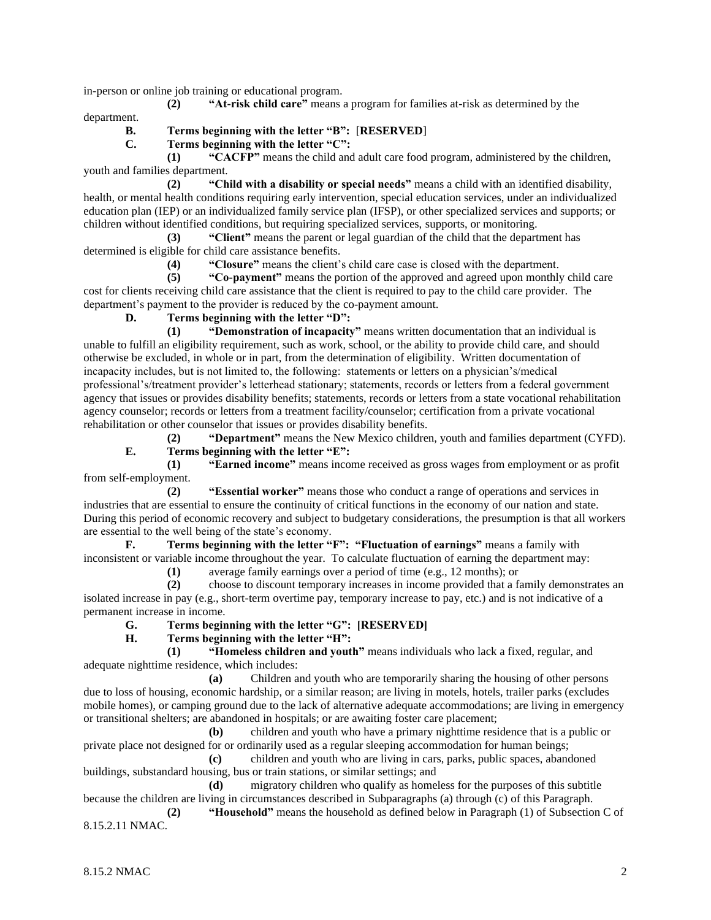in-person or online job training or educational program.

**(2) "At-risk child care"** means a program for families at-risk as determined by the department.

## **B. Terms beginning with the letter "B":** [**RESERVED**]

**C. Terms beginning with the letter "C":**

**(1) "CACFP"** means the child and adult care food program, administered by the children, youth and families department.

**(2) "Child with a disability or special needs"** means a child with an identified disability, health, or mental health conditions requiring early intervention, special education services, under an individualized education plan (IEP) or an individualized family service plan (IFSP), or other specialized services and supports; or children without identified conditions, but requiring specialized services, supports, or monitoring.

**(3) "Client"** means the parent or legal guardian of the child that the department has determined is eligible for child care assistance benefits.

**(4) "Closure"** means the client's child care case is closed with the department.

**(5) "Co-payment"** means the portion of the approved and agreed upon monthly child care cost for clients receiving child care assistance that the client is required to pay to the child care provider. The department's payment to the provider is reduced by the co-payment amount.

# **D. Terms beginning with the letter "D":**

**(1) "Demonstration of incapacity"** means written documentation that an individual is unable to fulfill an eligibility requirement, such as work, school, or the ability to provide child care, and should otherwise be excluded, in whole or in part, from the determination of eligibility. Written documentation of incapacity includes, but is not limited to, the following: statements or letters on a physician's/medical professional's/treatment provider's letterhead stationary; statements, records or letters from a federal government agency that issues or provides disability benefits; statements, records or letters from a state vocational rehabilitation agency counselor; records or letters from a treatment facility/counselor; certification from a private vocational rehabilitation or other counselor that issues or provides disability benefits.

**(2) "Department"** means the New Mexico children, youth and families department (CYFD). **E. Terms beginning with the letter "E":**

**(1) "Earned income"** means income received as gross wages from employment or as profit from self-employment.

**(2) "Essential worker"** means those who conduct a range of operations and services in industries that are essential to ensure the continuity of critical functions in the economy of our nation and state. During this period of economic recovery and subject to budgetary considerations, the presumption is that all workers are essential to the well being of the state's economy.

**F. Terms beginning with the letter "F": "Fluctuation of earnings"** means a family with inconsistent or variable income throughout the year. To calculate fluctuation of earning the department may:

**(1)** average family earnings over a period of time (e.g., 12 months); or

**(2)** choose to discount temporary increases in income provided that a family demonstrates an isolated increase in pay (e.g., short-term overtime pay, temporary increase to pay, etc.) and is not indicative of a permanent increase in income.

**G. Terms beginning with the letter "G": [RESERVED]**

**H. Terms beginning with the letter "H":**

**(1) "Homeless children and youth"** means individuals who lack a fixed, regular, and adequate nighttime residence, which includes:

**(a)** Children and youth who are temporarily sharing the housing of other persons due to loss of housing, economic hardship, or a similar reason; are living in motels, hotels, trailer parks (excludes mobile homes), or camping ground due to the lack of alternative adequate accommodations; are living in emergency or transitional shelters; are abandoned in hospitals; or are awaiting foster care placement;

**(b)** children and youth who have a primary nighttime residence that is a public or private place not designed for or ordinarily used as a regular sleeping accommodation for human beings;

**(c)** children and youth who are living in cars, parks, public spaces, abandoned buildings, substandard housing, bus or train stations, or similar settings; and

**(d)** migratory children who qualify as homeless for the purposes of this subtitle because the children are living in circumstances described in Subparagraphs (a) through (c) of this Paragraph.

**(2) "Household"** means the household as defined below in Paragraph (1) of Subsection C of 8.15.2.11 NMAC.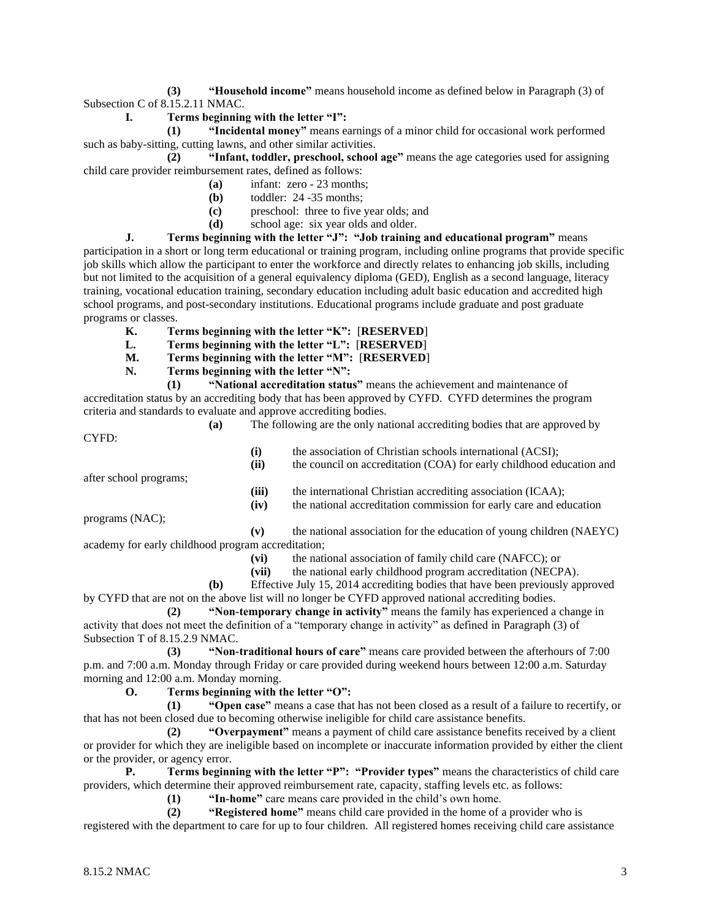**(3) "Household income"** means household income as defined below in Paragraph (3) of Subsection C of 8.15.2.11 NMAC.

**I. Terms beginning with the letter "I":**

**(1) "Incidental money"** means earnings of a minor child for occasional work performed such as baby-sitting, cutting lawns, and other similar activities.

**(2) "Infant, toddler, preschool, school age"** means the age categories used for assigning child care provider reimbursement rates, defined as follows:

- **(a)** infant: zero 23 months;
- **(b)** toddler: 24 -35 months;
- **(c)** preschool: three to five year olds; and
- **(d)** school age: six year olds and older.

**J. Terms beginning with the letter "J": "Job training and educational program"** means participation in a short or long term educational or training program, including online programs that provide specific job skills which allow the participant to enter the workforce and directly relates to enhancing job skills, including but not limited to the acquisition of a general equivalency diploma (GED), English as a second language, literacy training, vocational education training, secondary education including adult basic education and accredited high school programs, and post-secondary institutions. Educational programs include graduate and post graduate programs or classes.

- **K. Terms beginning with the letter "K":** [**RESERVED**]
- **L. Terms beginning with the letter "L":** [**RESERVED**]
- **M. Terms beginning with the letter "M":** [**RESERVED**]
- **N. Terms beginning with the letter "N":**

**(1) "National accreditation status"** means the achievement and maintenance of accreditation status by an accrediting body that has been approved by CYFD. CYFD determines the program criteria and standards to evaluate and approve accrediting bodies.

**(a)** The following are the only national accrediting bodies that are approved by CYFD: **(i)** the association of Christian schools international (ACSI); **(ii)** the council on accreditation (COA) for early childhood education and after school programs; (iii) the international Christian accrediting association (ICAA); **(iv)** the national accreditation commission for early care and education

programs (NAC);

**(v)** the national association for the education of young children (NAEYC) academy for early childhood program accreditation;

**(vi)** the national association of family child care (NAFCC); or

**(vii)** the national early childhood program accreditation (NECPA).

**(b)** Effective July 15, 2014 accrediting bodies that have been previously approved by CYFD that are not on the above list will no longer be CYFD approved national accrediting bodies.

**(2) "Non-temporary change in activity"** means the family has experienced a change in activity that does not meet the definition of a "temporary change in activity" as defined in Paragraph (3) of Subsection T of 8.15.2.9 NMAC.

**(3) "Non-traditional hours of care"** means care provided between the afterhours of 7:00 p.m. and 7:00 a.m. Monday through Friday or care provided during weekend hours between 12:00 a.m. Saturday morning and 12:00 a.m. Monday morning.

**O. Terms beginning with the letter "O":**

**(1) "Open case"** means a case that has not been closed as a result of a failure to recertify, or that has not been closed due to becoming otherwise ineligible for child care assistance benefits.

**(2) "Overpayment"** means a payment of child care assistance benefits received by a client or provider for which they are ineligible based on incomplete or inaccurate information provided by either the client or the provider, or agency error.

**P. Terms beginning with the letter "P": "Provider types"** means the characteristics of child care providers, which determine their approved reimbursement rate, capacity, staffing levels etc. as follows:

**(1) "In-home"** care means care provided in the child's own home.

**(2) "Registered home"** means child care provided in the home of a provider who is registered with the department to care for up to four children. All registered homes receiving child care assistance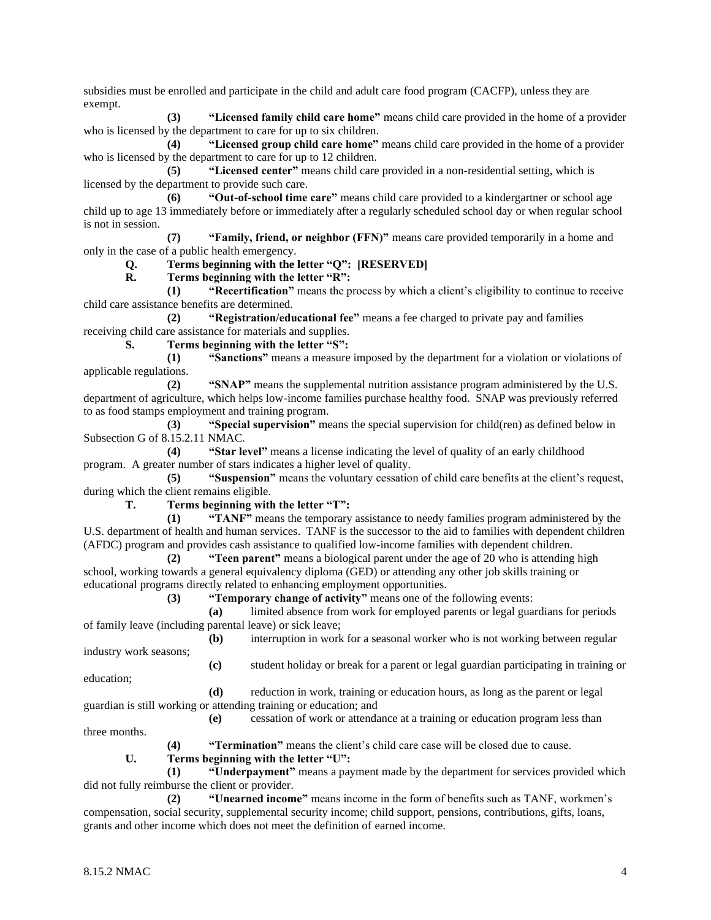subsidies must be enrolled and participate in the child and adult care food program (CACFP), unless they are exempt.

**(3) "Licensed family child care home"** means child care provided in the home of a provider who is licensed by the department to care for up to six children.

**(4) "Licensed group child care home"** means child care provided in the home of a provider who is licensed by the department to care for up to 12 children.

**(5) "Licensed center"** means child care provided in a non-residential setting, which is licensed by the department to provide such care.

**(6) "Out-of-school time care"** means child care provided to a kindergartner or school age child up to age 13 immediately before or immediately after a regularly scheduled school day or when regular school is not in session.

**(7) "Family, friend, or neighbor (FFN)"** means care provided temporarily in a home and only in the case of a public health emergency.

# **Q. Terms beginning with the letter "Q": [RESERVED]**

**R. Terms beginning with the letter "R":**

**(1) "Recertification"** means the process by which a client's eligibility to continue to receive child care assistance benefits are determined.

**(2) "Registration/educational fee"** means a fee charged to private pay and families receiving child care assistance for materials and supplies.

**S. Terms beginning with the letter "S":**

**(1) "Sanctions"** means a measure imposed by the department for a violation or violations of applicable regulations.

**(2) "SNAP"** means the supplemental nutrition assistance program administered by the U.S. department of agriculture, which helps low-income families purchase healthy food. SNAP was previously referred to as food stamps employment and training program.

**(3) "Special supervision"** means the special supervision for child(ren) as defined below in Subsection G of 8.15.2.11 NMAC.

**(4) "Star level"** means a license indicating the level of quality of an early childhood program. A greater number of stars indicates a higher level of quality.

**(5) "Suspension"** means the voluntary cessation of child care benefits at the client's request, during which the client remains eligible.

**T. Terms beginning with the letter "T":**

**(1) "TANF"** means the temporary assistance to needy families program administered by the U.S. department of health and human services. TANF is the successor to the aid to families with dependent children (AFDC) program and provides cash assistance to qualified low-income families with dependent children.

**(2) "Teen parent"** means a biological parent under the age of 20 who is attending high school, working towards a general equivalency diploma (GED) or attending any other job skills training or educational programs directly related to enhancing employment opportunities.

**(3) "Temporary change of activity"** means one of the following events:

**(a)** limited absence from work for employed parents or legal guardians for periods of family leave (including parental leave) or sick leave;

**(b)** interruption in work for a seasonal worker who is not working between regular

**(c)** student holiday or break for a parent or legal guardian participating in training or

education;

industry work seasons;

**(d)** reduction in work, training or education hours, as long as the parent or legal guardian is still working or attending training or education; and

**(e)** cessation of work or attendance at a training or education program less than three months.

**(4) "Termination"** means the client's child care case will be closed due to cause.

## **U. Terms beginning with the letter "U":**

**(1) "Underpayment"** means a payment made by the department for services provided which did not fully reimburse the client or provider.

**(2) "Unearned income"** means income in the form of benefits such as TANF, workmen's compensation, social security, supplemental security income; child support, pensions, contributions, gifts, loans, grants and other income which does not meet the definition of earned income.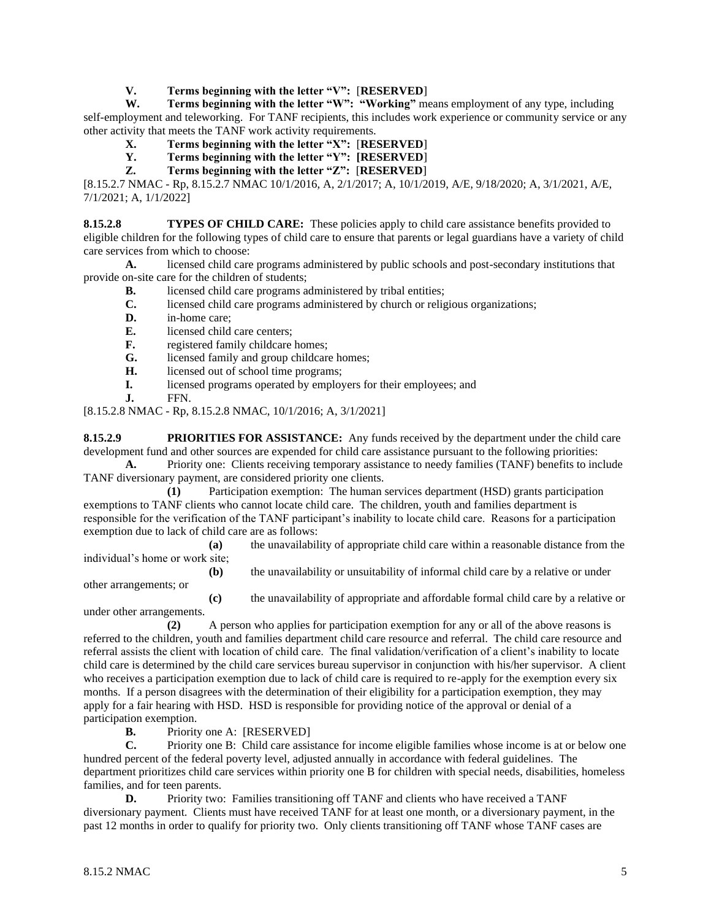**V. Terms beginning with the letter "V":** [**RESERVED**]

**W. Terms beginning with the letter "W": "Working"** means employment of any type, including self-employment and teleworking. For TANF recipients, this includes work experience or community service or any other activity that meets the TANF work activity requirements.

- **X. Terms beginning with the letter "X":** [**RESERVED**]
- **Y. Terms beginning with the letter "Y": [RESERVED**]
- **Z. Terms beginning with the letter "Z":** [**RESERVED**]

[8.15.2.7 NMAC - Rp, 8.15.2.7 NMAC 10/1/2016, A, 2/1/2017; A, 10/1/2019, A/E, 9/18/2020; A, 3/1/2021, A/E, 7/1/2021; A, 1/1/2022]

**8.15.2.8 TYPES OF CHILD CARE:** These policies apply to child care assistance benefits provided to eligible children for the following types of child care to ensure that parents or legal guardians have a variety of child care services from which to choose:

**A.** licensed child care programs administered by public schools and post-secondary institutions that provide on-site care for the children of students;

- **B.** licensed child care programs administered by tribal entities;
- **C.** licensed child care programs administered by church or religious organizations;
- **D.** in-home care;
- **E.** licensed child care centers;
- **F.** registered family childcare homes;
- **G.** licensed family and group childcare homes;
- **H.** licensed out of school time programs;
- **I.** licensed programs operated by employers for their employees; and
- **J.** FFN.

[8.15.2.8 NMAC - Rp, 8.15.2.8 NMAC, 10/1/2016; A, 3/1/2021]

**8.15.2.9 PRIORITIES FOR ASSISTANCE:** Any funds received by the department under the child care development fund and other sources are expended for child care assistance pursuant to the following priorities:

**A.** Priority one: Clients receiving temporary assistance to needy families (TANF) benefits to include TANF diversionary payment, are considered priority one clients.

**(1)** Participation exemption: The human services department (HSD) grants participation exemptions to TANF clients who cannot locate child care. The children, youth and families department is responsible for the verification of the TANF participant's inability to locate child care. Reasons for a participation exemption due to lack of child care are as follows:

**(a)** the unavailability of appropriate child care within a reasonable distance from the individual's home or work site;

**(b)** the unavailability or unsuitability of informal child care by a relative or under

other arrangements; or

**(c)** the unavailability of appropriate and affordable formal child care by a relative or under other arrangements.

**(2)** A person who applies for participation exemption for any or all of the above reasons is

referred to the children, youth and families department child care resource and referral. The child care resource and referral assists the client with location of child care. The final validation/verification of a client's inability to locate child care is determined by the child care services bureau supervisor in conjunction with his/her supervisor. A client who receives a participation exemption due to lack of child care is required to re-apply for the exemption every six months. If a person disagrees with the determination of their eligibility for a participation exemption, they may apply for a fair hearing with HSD. HSD is responsible for providing notice of the approval or denial of a participation exemption.

**B.** Priority one A: [RESERVED]

**C.** Priority one B: Child care assistance for income eligible families whose income is at or below one hundred percent of the federal poverty level, adjusted annually in accordance with federal guidelines. The department prioritizes child care services within priority one B for children with special needs, disabilities, homeless families, and for teen parents.

**D.** Priority two: Families transitioning off TANF and clients who have received a TANF diversionary payment. Clients must have received TANF for at least one month, or a diversionary payment, in the past 12 months in order to qualify for priority two. Only clients transitioning off TANF whose TANF cases are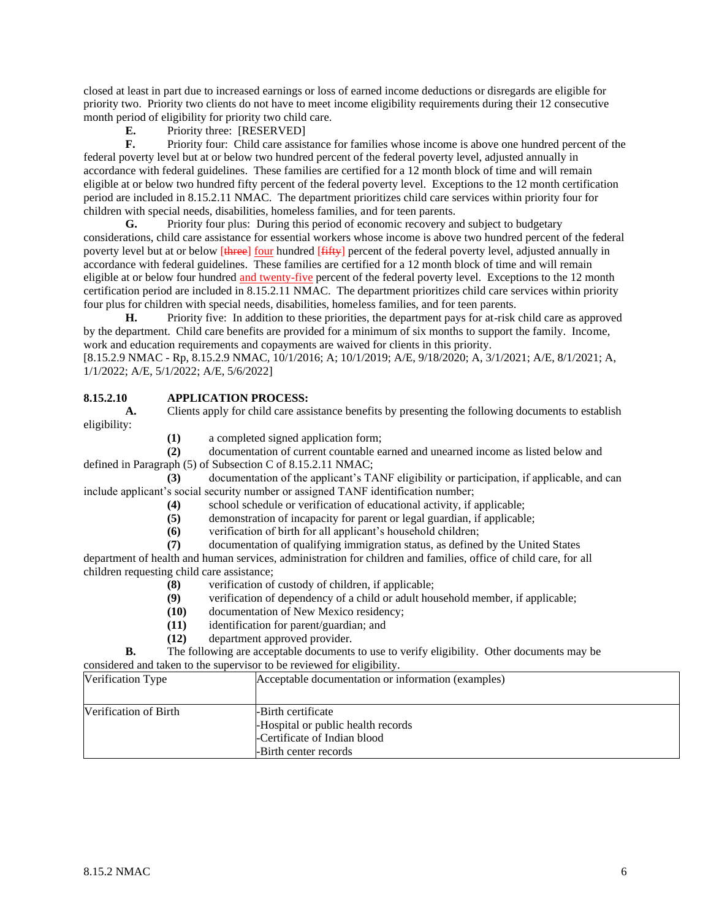closed at least in part due to increased earnings or loss of earned income deductions or disregards are eligible for priority two. Priority two clients do not have to meet income eligibility requirements during their 12 consecutive month period of eligibility for priority two child care.

**E.** Priority three: [RESERVED]

**F.** Priority four: Child care assistance for families whose income is above one hundred percent of the federal poverty level but at or below two hundred percent of the federal poverty level, adjusted annually in accordance with federal guidelines. These families are certified for a 12 month block of time and will remain eligible at or below two hundred fifty percent of the federal poverty level. Exceptions to the 12 month certification period are included in 8.15.2.11 NMAC. The department prioritizes child care services within priority four for children with special needs, disabilities, homeless families, and for teen parents.

**G.** Priority four plus: During this period of economic recovery and subject to budgetary considerations, child care assistance for essential workers whose income is above two hundred percent of the federal poverty level but at or below [three] four hundred [thethere] percent of the federal poverty level, adjusted annually in accordance with federal guidelines. These families are certified for a 12 month block of time and will remain eligible at or below four hundred and twenty-five percent of the federal poverty level. Exceptions to the 12 month certification period are included in 8.15.2.11 NMAC. The department prioritizes child care services within priority four plus for children with special needs, disabilities, homeless families, and for teen parents.

**H.** Priority five: In addition to these priorities, the department pays for at-risk child care as approved by the department. Child care benefits are provided for a minimum of six months to support the family. Income, work and education requirements and copayments are waived for clients in this priority.

[8.15.2.9 NMAC - Rp, 8.15.2.9 NMAC, 10/1/2016; A; 10/1/2019; A/E, 9/18/2020; A, 3/1/2021; A/E, 8/1/2021; A, 1/1/2022; A/E, 5/1/2022; A/E, 5/6/2022]

# **8.15.2.10 APPLICATION PROCESS:**

**A.** Clients apply for child care assistance benefits by presenting the following documents to establish eligibility:

**(1)** a completed signed application form;

**(2)** documentation of current countable earned and unearned income as listed below and defined in Paragraph (5) of Subsection C of 8.15.2.11 NMAC;

**(3)** documentation of the applicant's TANF eligibility or participation, if applicable, and can include applicant's social security number or assigned TANF identification number;

**(4)** school schedule or verification of educational activity, if applicable;

**(5)** demonstration of incapacity for parent or legal guardian, if applicable;

**(6)** verification of birth for all applicant's household children;

**(7)** documentation of qualifying immigration status, as defined by the United States

department of health and human services, administration for children and families, office of child care, for all children requesting child care assistance;

- **(8)** verification of custody of children, if applicable;
- **(9)** verification of dependency of a child or adult household member, if applicable;
- **(10)** documentation of New Mexico residency;
- **(11)** identification for parent/guardian; and
- **(12)** department approved provider.

**B.** The following are acceptable documents to use to verify eligibility. Other documents may be considered and taken to the supervisor to be reviewed for eligibility.

| considered and taken to the supervisor to be reviewed for englority. |                                                                                                                   |  |
|----------------------------------------------------------------------|-------------------------------------------------------------------------------------------------------------------|--|
| Verification Type                                                    | Acceptable documentation or information (examples)                                                                |  |
| Verification of Birth                                                | -Birth certificate<br>-Hospital or public health records<br>-Certificate of Indian blood<br>-Birth center records |  |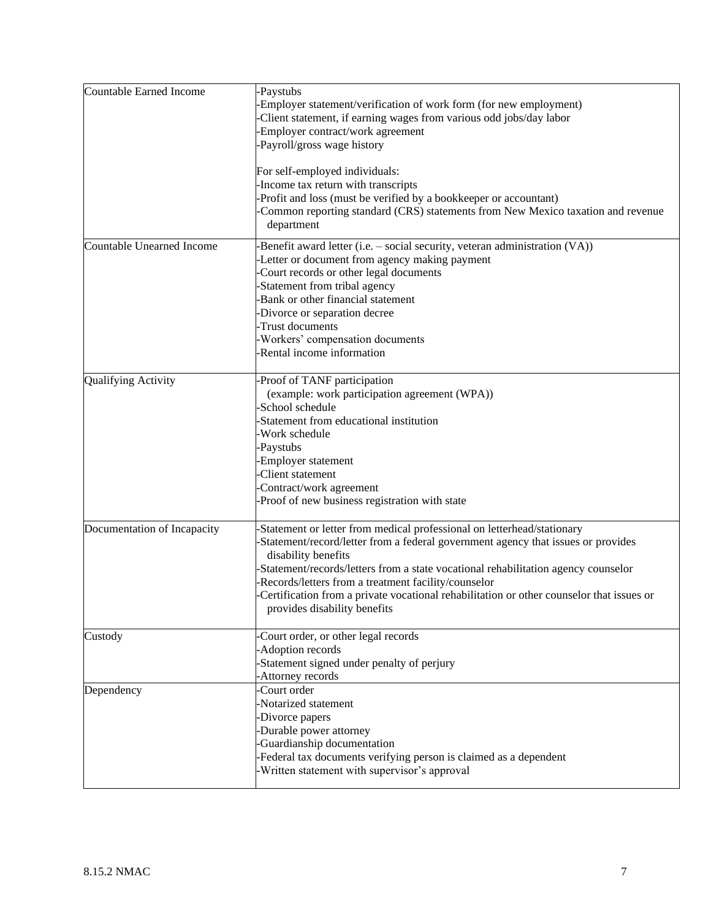| <b>Countable Earned Income</b> | -Paystubs                                                                                |  |  |
|--------------------------------|------------------------------------------------------------------------------------------|--|--|
|                                | Employer statement/verification of work form (for new employment)                        |  |  |
|                                | Client statement, if earning wages from various odd jobs/day labor                       |  |  |
|                                | Employer contract/work agreement                                                         |  |  |
|                                | Payroll/gross wage history                                                               |  |  |
|                                |                                                                                          |  |  |
|                                | For self-employed individuals:                                                           |  |  |
|                                | -Income tax return with transcripts                                                      |  |  |
|                                | Profit and loss (must be verified by a bookkeeper or accountant)                         |  |  |
|                                | Common reporting standard (CRS) statements from New Mexico taxation and revenue          |  |  |
|                                |                                                                                          |  |  |
|                                | department                                                                               |  |  |
| Countable Unearned Income      | Benefit award letter (i.e. - social security, veteran administration (VA))               |  |  |
|                                | Letter or document from agency making payment                                            |  |  |
|                                | Court records or other legal documents                                                   |  |  |
|                                | Statement from tribal agency                                                             |  |  |
|                                | Bank or other financial statement                                                        |  |  |
|                                | -Divorce or separation decree                                                            |  |  |
|                                | -Trust documents                                                                         |  |  |
|                                | -Workers' compensation documents                                                         |  |  |
|                                | -Rental income information                                                               |  |  |
|                                |                                                                                          |  |  |
| Qualifying Activity            | Proof of TANF participation                                                              |  |  |
|                                | (example: work participation agreement (WPA))                                            |  |  |
|                                | -School schedule                                                                         |  |  |
|                                | -Statement from educational institution                                                  |  |  |
|                                | -Work schedule                                                                           |  |  |
|                                |                                                                                          |  |  |
|                                | Paystubs                                                                                 |  |  |
|                                | Employer statement                                                                       |  |  |
|                                | Client statement                                                                         |  |  |
|                                | Contract/work agreement                                                                  |  |  |
|                                | Proof of new business registration with state                                            |  |  |
| Documentation of Incapacity    | Statement or letter from medical professional on letterhead/stationary                   |  |  |
|                                | -Statement/record/letter from a federal government agency that issues or provides        |  |  |
|                                |                                                                                          |  |  |
|                                | disability benefits                                                                      |  |  |
|                                | Statement/records/letters from a state vocational rehabilitation agency counselor        |  |  |
|                                | -Records/letters from a treatment facility/counselor                                     |  |  |
|                                | Certification from a private vocational rehabilitation or other counselor that issues or |  |  |
|                                | provides disability benefits                                                             |  |  |
| Custody                        | Court order, or other legal records                                                      |  |  |
|                                | Adoption records                                                                         |  |  |
|                                | Statement signed under penalty of perjury                                                |  |  |
|                                |                                                                                          |  |  |
|                                | Attorney records                                                                         |  |  |
| Dependency                     | Court order                                                                              |  |  |
|                                | Notarized statement                                                                      |  |  |
|                                | -Divorce papers                                                                          |  |  |
|                                | -Durable power attorney                                                                  |  |  |
|                                | Guardianship documentation                                                               |  |  |
|                                | -Federal tax documents verifying person is claimed as a dependent                        |  |  |
|                                | -Written statement with supervisor's approval                                            |  |  |
|                                |                                                                                          |  |  |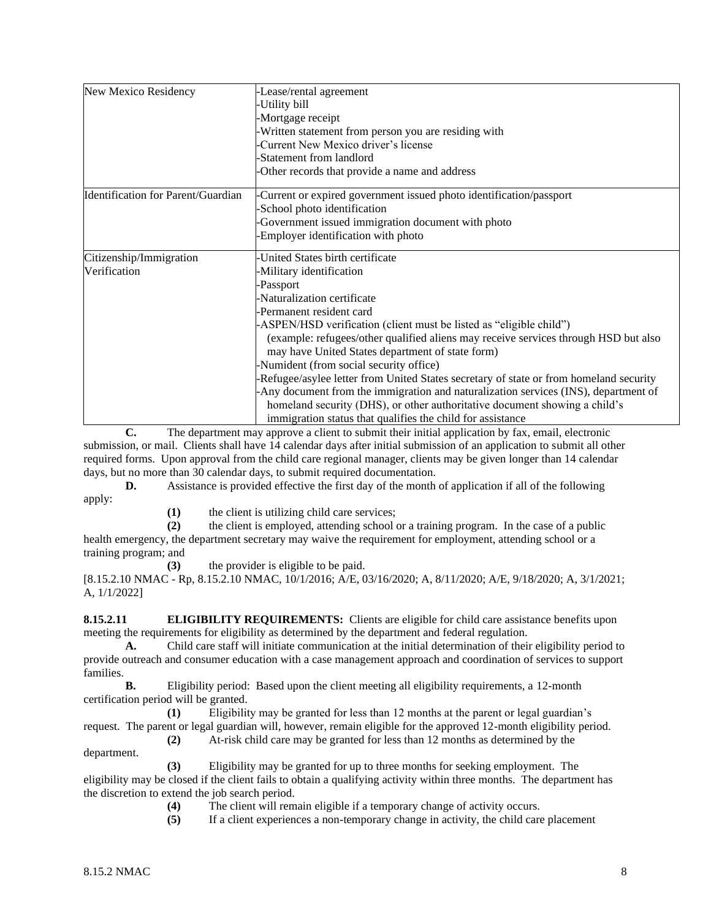| New Mexico Residency               | -Lease/rental agreement                                                                |  |  |
|------------------------------------|----------------------------------------------------------------------------------------|--|--|
|                                    | -Utility bill                                                                          |  |  |
|                                    | -Mortgage receipt                                                                      |  |  |
|                                    | -Written statement from person you are residing with                                   |  |  |
|                                    | -Current New Mexico driver's license                                                   |  |  |
|                                    | -Statement from landlord                                                               |  |  |
|                                    | -Other records that provide a name and address                                         |  |  |
| Identification for Parent/Guardian | -Current or expired government issued photo identification/passport                    |  |  |
|                                    | -School photo identification                                                           |  |  |
|                                    | Government issued immigration document with photo                                      |  |  |
|                                    | Employer identification with photo                                                     |  |  |
| Citizenship/Immigration            | United States birth certificate                                                        |  |  |
| Verification                       | -Military identification                                                               |  |  |
|                                    | -Passport                                                                              |  |  |
|                                    | Naturalization certificate                                                             |  |  |
|                                    | -Permanent resident card                                                               |  |  |
|                                    | -ASPEN/HSD verification (client must be listed as "eligible child")                    |  |  |
|                                    | (example: refugees/other qualified aliens may receive services through HSD but also    |  |  |
|                                    | may have United States department of state form)                                       |  |  |
|                                    | -Numident (from social security office)                                                |  |  |
|                                    | -Refugee/asylee letter from United States secretary of state or from homeland security |  |  |
|                                    | Any document from the immigration and naturalization services (INS), department of     |  |  |
|                                    | homeland security (DHS), or other authoritative document showing a child's             |  |  |
|                                    | immigration status that qualifies the child for assistance                             |  |  |

**C.** The department may approve a client to submit their initial application by fax, email, electronic submission, or mail. Clients shall have 14 calendar days after initial submission of an application to submit all other required forms. Upon approval from the child care regional manager, clients may be given longer than 14 calendar days, but no more than 30 calendar days, to submit required documentation.

**D.** Assistance is provided effective the first day of the month of application if all of the following apply:

**(1)** the client is utilizing child care services;

**(2)** the client is employed, attending school or a training program. In the case of a public health emergency, the department secretary may waive the requirement for employment, attending school or a training program; and

**(3)** the provider is eligible to be paid.

[8.15.2.10 NMAC - Rp, 8.15.2.10 NMAC, 10/1/2016; A/E, 03/16/2020; A, 8/11/2020; A/E, 9/18/2020; A, 3/1/2021; A, 1/1/2022]

**8.15.2.11 ELIGIBILITY REQUIREMENTS:** Clients are eligible for child care assistance benefits upon meeting the requirements for eligibility as determined by the department and federal regulation.

**A.** Child care staff will initiate communication at the initial determination of their eligibility period to provide outreach and consumer education with a case management approach and coordination of services to support families.

**B.** Eligibility period: Based upon the client meeting all eligibility requirements, a 12-month certification period will be granted.

**(1)** Eligibility may be granted for less than 12 months at the parent or legal guardian's request. The parent or legal guardian will, however, remain eligible for the approved 12-month eligibility period. **(2)** At-risk child care may be granted for less than 12 months as determined by the

department.

**(3)** Eligibility may be granted for up to three months for seeking employment. The eligibility may be closed if the client fails to obtain a qualifying activity within three months. The department has the discretion to extend the job search period.

**(4)** The client will remain eligible if a temporary change of activity occurs.

**(5)** If a client experiences a non-temporary change in activity, the child care placement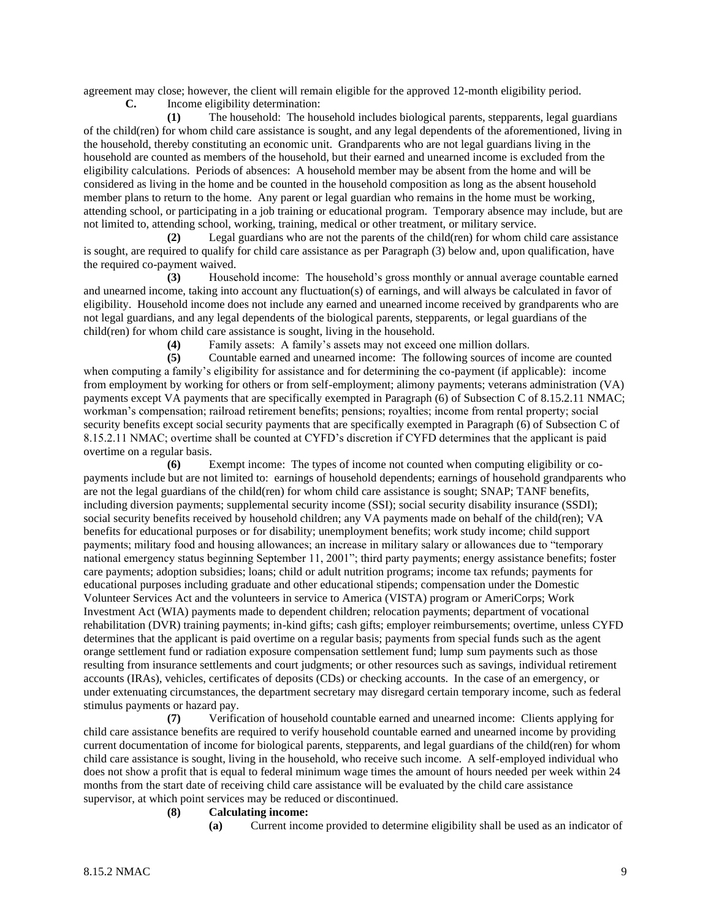agreement may close; however, the client will remain eligible for the approved 12-month eligibility period.

**C.** Income eligibility determination:

**(1)** The household: The household includes biological parents, stepparents, legal guardians of the child(ren) for whom child care assistance is sought, and any legal dependents of the aforementioned, living in the household, thereby constituting an economic unit. Grandparents who are not legal guardians living in the household are counted as members of the household, but their earned and unearned income is excluded from the eligibility calculations. Periods of absences: A household member may be absent from the home and will be considered as living in the home and be counted in the household composition as long as the absent household member plans to return to the home. Any parent or legal guardian who remains in the home must be working, attending school, or participating in a job training or educational program. Temporary absence may include, but are not limited to, attending school, working, training, medical or other treatment, or military service.

**(2)** Legal guardians who are not the parents of the child(ren) for whom child care assistance is sought, are required to qualify for child care assistance as per Paragraph (3) below and, upon qualification, have the required co-payment waived.

**(3)** Household income: The household's gross monthly or annual average countable earned and unearned income, taking into account any fluctuation(s) of earnings, and will always be calculated in favor of eligibility. Household income does not include any earned and unearned income received by grandparents who are not legal guardians, and any legal dependents of the biological parents, stepparents, or legal guardians of the child(ren) for whom child care assistance is sought, living in the household.

**(4)** Family assets: A family's assets may not exceed one million dollars.

**(5)** Countable earned and unearned income: The following sources of income are counted when computing a family's eligibility for assistance and for determining the co-payment (if applicable): income from employment by working for others or from self-employment; alimony payments; veterans administration (VA) payments except VA payments that are specifically exempted in Paragraph (6) of Subsection C of 8.15.2.11 NMAC; workman's compensation; railroad retirement benefits; pensions; royalties; income from rental property; social security benefits except social security payments that are specifically exempted in Paragraph (6) of Subsection C of 8.15.2.11 NMAC; overtime shall be counted at CYFD's discretion if CYFD determines that the applicant is paid overtime on a regular basis.

**(6)** Exempt income: The types of income not counted when computing eligibility or copayments include but are not limited to: earnings of household dependents; earnings of household grandparents who are not the legal guardians of the child(ren) for whom child care assistance is sought; SNAP; TANF benefits, including diversion payments; supplemental security income (SSI); social security disability insurance (SSDI); social security benefits received by household children; any VA payments made on behalf of the child(ren); VA benefits for educational purposes or for disability; unemployment benefits; work study income; child support payments; military food and housing allowances; an increase in military salary or allowances due to "temporary national emergency status beginning September 11, 2001"; third party payments; energy assistance benefits; foster care payments; adoption subsidies; loans; child or adult nutrition programs; income tax refunds; payments for educational purposes including graduate and other educational stipends; compensation under the Domestic Volunteer Services Act and the volunteers in service to America (VISTA) program or AmeriCorps; Work Investment Act (WIA) payments made to dependent children; relocation payments; department of vocational rehabilitation (DVR) training payments; in-kind gifts; cash gifts; employer reimbursements; overtime, unless CYFD determines that the applicant is paid overtime on a regular basis; payments from special funds such as the agent orange settlement fund or radiation exposure compensation settlement fund; lump sum payments such as those resulting from insurance settlements and court judgments; or other resources such as savings, individual retirement accounts (IRAs), vehicles, certificates of deposits (CDs) or checking accounts. In the case of an emergency, or under extenuating circumstances, the department secretary may disregard certain temporary income, such as federal stimulus payments or hazard pay.

**(7)** Verification of household countable earned and unearned income: Clients applying for child care assistance benefits are required to verify household countable earned and unearned income by providing current documentation of income for biological parents, stepparents, and legal guardians of the child(ren) for whom child care assistance is sought, living in the household, who receive such income. A self-employed individual who does not show a profit that is equal to federal minimum wage times the amount of hours needed per week within 24 months from the start date of receiving child care assistance will be evaluated by the child care assistance supervisor, at which point services may be reduced or discontinued.

## **(8) Calculating income:**

**(a)** Current income provided to determine eligibility shall be used as an indicator of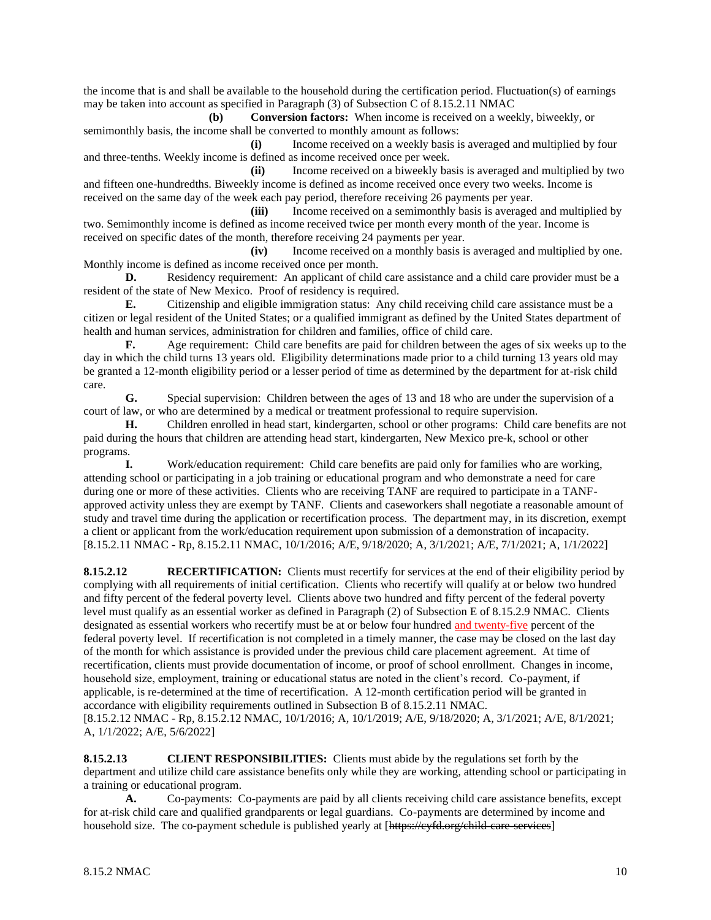the income that is and shall be available to the household during the certification period. Fluctuation(s) of earnings may be taken into account as specified in Paragraph (3) of Subsection C of 8.15.2.11 NMAC

**(b) Conversion factors:** When income is received on a weekly, biweekly, or semimonthly basis, the income shall be converted to monthly amount as follows:

**(i)** Income received on a weekly basis is averaged and multiplied by four and three-tenths. Weekly income is defined as income received once per week.

**(ii)** Income received on a biweekly basis is averaged and multiplied by two and fifteen one-hundredths. Biweekly income is defined as income received once every two weeks. Income is received on the same day of the week each pay period, therefore receiving 26 payments per year.

**(iii)** Income received on a semimonthly basis is averaged and multiplied by two. Semimonthly income is defined as income received twice per month every month of the year. Income is received on specific dates of the month, therefore receiving 24 payments per year.

**(iv)** Income received on a monthly basis is averaged and multiplied by one. Monthly income is defined as income received once per month.

**D.** Residency requirement: An applicant of child care assistance and a child care provider must be a resident of the state of New Mexico. Proof of residency is required.

**E.** Citizenship and eligible immigration status: Any child receiving child care assistance must be a citizen or legal resident of the United States; or a qualified immigrant as defined by the United States department of health and human services, administration for children and families, office of child care.

**F.** Age requirement: Child care benefits are paid for children between the ages of six weeks up to the day in which the child turns 13 years old. Eligibility determinations made prior to a child turning 13 years old may be granted a 12-month eligibility period or a lesser period of time as determined by the department for at-risk child care.

**G.** Special supervision: Children between the ages of 13 and 18 who are under the supervision of a court of law, or who are determined by a medical or treatment professional to require supervision.

**H.** Children enrolled in head start, kindergarten, school or other programs: Child care benefits are not paid during the hours that children are attending head start, kindergarten, New Mexico pre-k, school or other programs.

**I.** Work/education requirement: Child care benefits are paid only for families who are working, attending school or participating in a job training or educational program and who demonstrate a need for care during one or more of these activities. Clients who are receiving TANF are required to participate in a TANFapproved activity unless they are exempt by TANF. Clients and caseworkers shall negotiate a reasonable amount of study and travel time during the application or recertification process. The department may, in its discretion, exempt a client or applicant from the work/education requirement upon submission of a demonstration of incapacity. [8.15.2.11 NMAC - Rp, 8.15.2.11 NMAC, 10/1/2016; A/E, 9/18/2020; A, 3/1/2021; A/E, 7/1/2021; A, 1/1/2022]

**8.15.2.12 RECERTIFICATION:** Clients must recertify for services at the end of their eligibility period by complying with all requirements of initial certification. Clients who recertify will qualify at or below two hundred and fifty percent of the federal poverty level. Clients above two hundred and fifty percent of the federal poverty level must qualify as an essential worker as defined in Paragraph (2) of Subsection E of 8.15.2.9 NMAC. Clients designated as essential workers who recertify must be at or below four hundred and twenty-five percent of the federal poverty level. If recertification is not completed in a timely manner, the case may be closed on the last day of the month for which assistance is provided under the previous child care placement agreement. At time of recertification, clients must provide documentation of income, or proof of school enrollment. Changes in income, household size, employment, training or educational status are noted in the client's record. Co-payment, if applicable, is re-determined at the time of recertification. A 12-month certification period will be granted in accordance with eligibility requirements outlined in Subsection B of 8.15.2.11 NMAC. [8.15.2.12 NMAC - Rp, 8.15.2.12 NMAC, 10/1/2016; A, 10/1/2019; A/E, 9/18/2020; A, 3/1/2021; A/E, 8/1/2021; A, 1/1/2022; A/E, 5/6/2022]

**8.15.2.13 CLIENT RESPONSIBILITIES:** Clients must abide by the regulations set forth by the department and utilize child care assistance benefits only while they are working, attending school or participating in a training or educational program.

**A.** Co-payments: Co-payments are paid by all clients receiving child care assistance benefits, except for at-risk child care and qualified grandparents or legal guardians. Co-payments are determined by income and household size. The co-payment schedule is published yearly at [https://eyfd.org/child-care-services]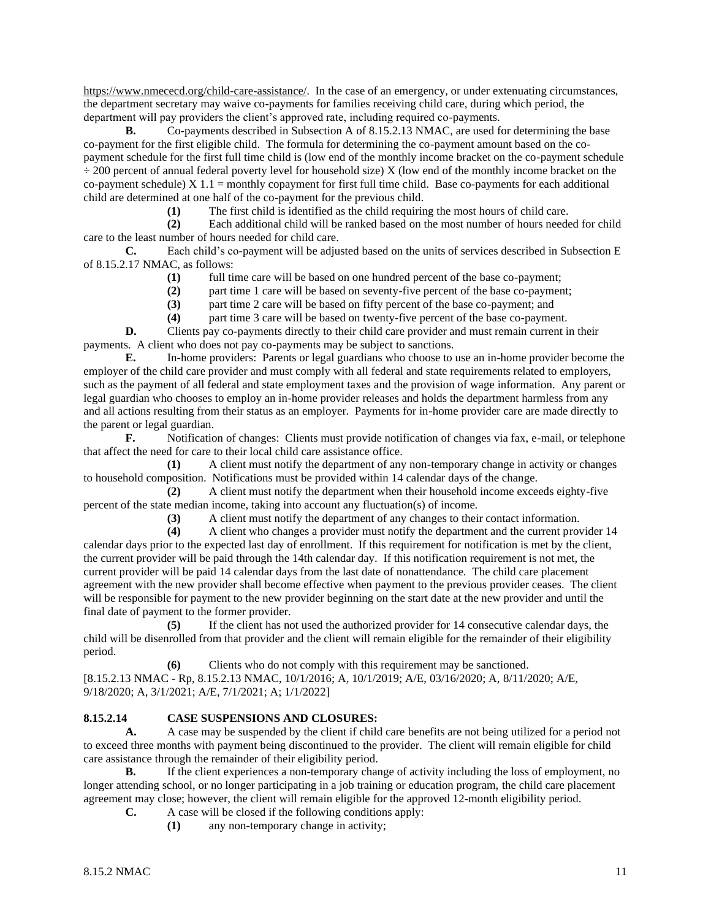[https://www.nmececd.org/child-care-assistance/.](https://www.nmececd.org/child-care-assistance/) In the case of an emergency, or under extenuating circumstances, the department secretary may waive co-payments for families receiving child care, during which period, the department will pay providers the client's approved rate, including required co-payments.

**B.** Co-payments described in Subsection A of 8.15.2.13 NMAC, are used for determining the base co-payment for the first eligible child. The formula for determining the co-payment amount based on the copayment schedule for the first full time child is (low end of the monthly income bracket on the co-payment schedule ÷ 200 percent of annual federal poverty level for household size) X (low end of the monthly income bracket on the co-payment schedule)  $X$  1.1 = monthly copayment for first full time child. Base co-payments for each additional child are determined at one half of the co-payment for the previous child.

**(1)** The first child is identified as the child requiring the most hours of child care.

**(2)** Each additional child will be ranked based on the most number of hours needed for child care to the least number of hours needed for child care.

**C.** Each child's co-payment will be adjusted based on the units of services described in Subsection E of 8.15.2.17 NMAC, as follows:

**(1)** full time care will be based on one hundred percent of the base co-payment;

**(2)** part time 1 care will be based on seventy-five percent of the base co-payment;

**(3)** part time 2 care will be based on fifty percent of the base co-payment; and

**(4)** part time 3 care will be based on twenty-five percent of the base co-payment.

**D.** Clients pay co-payments directly to their child care provider and must remain current in their payments. A client who does not pay co-payments may be subject to sanctions.

**E.** In-home providers: Parents or legal guardians who choose to use an in-home provider become the employer of the child care provider and must comply with all federal and state requirements related to employers, such as the payment of all federal and state employment taxes and the provision of wage information. Any parent or legal guardian who chooses to employ an in-home provider releases and holds the department harmless from any and all actions resulting from their status as an employer. Payments for in-home provider care are made directly to the parent or legal guardian.

**F.** Notification of changes: Clients must provide notification of changes via fax, e-mail, or telephone that affect the need for care to their local child care assistance office.

**(1)** A client must notify the department of any non-temporary change in activity or changes to household composition. Notifications must be provided within 14 calendar days of the change.

**(2)** A client must notify the department when their household income exceeds eighty-five percent of the state median income, taking into account any fluctuation(s) of income.

**(3)** A client must notify the department of any changes to their contact information.

**(4)** A client who changes a provider must notify the department and the current provider 14 calendar days prior to the expected last day of enrollment. If this requirement for notification is met by the client, the current provider will be paid through the 14th calendar day. If this notification requirement is not met, the current provider will be paid 14 calendar days from the last date of nonattendance. The child care placement agreement with the new provider shall become effective when payment to the previous provider ceases. The client will be responsible for payment to the new provider beginning on the start date at the new provider and until the final date of payment to the former provider.

**(5)** If the client has not used the authorized provider for 14 consecutive calendar days, the child will be disenrolled from that provider and the client will remain eligible for the remainder of their eligibility period.

**(6)** Clients who do not comply with this requirement may be sanctioned.

[8.15.2.13 NMAC - Rp, 8.15.2.13 NMAC, 10/1/2016; A, 10/1/2019; A/E, 03/16/2020; A, 8/11/2020; A/E, 9/18/2020; A, 3/1/2021; A/E, 7/1/2021; A; 1/1/2022]

## **8.15.2.14 CASE SUSPENSIONS AND CLOSURES:**

**A.** A case may be suspended by the client if child care benefits are not being utilized for a period not to exceed three months with payment being discontinued to the provider. The client will remain eligible for child care assistance through the remainder of their eligibility period.

**B.** If the client experiences a non-temporary change of activity including the loss of employment, no longer attending school, or no longer participating in a job training or education program, the child care placement agreement may close; however, the client will remain eligible for the approved 12-month eligibility period.

**C.** A case will be closed if the following conditions apply:

**(1)** any non-temporary change in activity;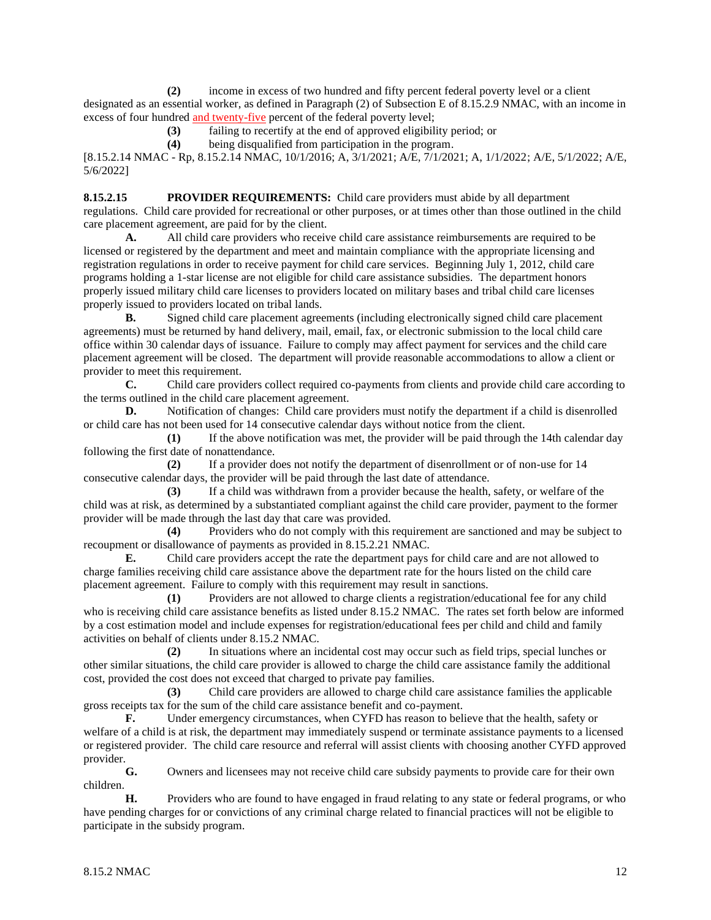**(2)** income in excess of two hundred and fifty percent federal poverty level or a client designated as an essential worker, as defined in Paragraph (2) of Subsection E of 8.15.2.9 NMAC, with an income in excess of four hundred and twenty-five percent of the federal poverty level;

**(3)** failing to recertify at the end of approved eligibility period; or

**(4)** being disqualified from participation in the program.

[8.15.2.14 NMAC - Rp, 8.15.2.14 NMAC, 10/1/2016; A, 3/1/2021; A/E, 7/1/2021; A, 1/1/2022; A/E, 5/1/2022; A/E, 5/6/2022]

**8.15.2.15 PROVIDER REQUIREMENTS:** Child care providers must abide by all department regulations. Child care provided for recreational or other purposes, or at times other than those outlined in the child care placement agreement, are paid for by the client.

**A.** All child care providers who receive child care assistance reimbursements are required to be licensed or registered by the department and meet and maintain compliance with the appropriate licensing and registration regulations in order to receive payment for child care services. Beginning July 1, 2012, child care programs holding a 1-star license are not eligible for child care assistance subsidies. The department honors properly issued military child care licenses to providers located on military bases and tribal child care licenses properly issued to providers located on tribal lands.

**B.** Signed child care placement agreements (including electronically signed child care placement agreements) must be returned by hand delivery, mail, email, fax, or electronic submission to the local child care office within 30 calendar days of issuance. Failure to comply may affect payment for services and the child care placement agreement will be closed. The department will provide reasonable accommodations to allow a client or provider to meet this requirement.

**C.** Child care providers collect required co-payments from clients and provide child care according to the terms outlined in the child care placement agreement.

**D.** Notification of changes: Child care providers must notify the department if a child is disenrolled or child care has not been used for 14 consecutive calendar days without notice from the client.

**(1)** If the above notification was met, the provider will be paid through the 14th calendar day following the first date of nonattendance.

**(2)** If a provider does not notify the department of disenrollment or of non-use for 14 consecutive calendar days, the provider will be paid through the last date of attendance.

**(3)** If a child was withdrawn from a provider because the health, safety, or welfare of the child was at risk, as determined by a substantiated compliant against the child care provider, payment to the former provider will be made through the last day that care was provided.

**(4)** Providers who do not comply with this requirement are sanctioned and may be subject to recoupment or disallowance of payments as provided in 8.15.2.21 NMAC.

**E.** Child care providers accept the rate the department pays for child care and are not allowed to charge families receiving child care assistance above the department rate for the hours listed on the child care placement agreement. Failure to comply with this requirement may result in sanctions.

**(1)** Providers are not allowed to charge clients a registration/educational fee for any child who is receiving child care assistance benefits as listed under 8.15.2 NMAC. The rates set forth below are informed by a cost estimation model and include expenses for registration/educational fees per child and child and family activities on behalf of clients under 8.15.2 NMAC.

**(2)** In situations where an incidental cost may occur such as field trips, special lunches or other similar situations, the child care provider is allowed to charge the child care assistance family the additional cost, provided the cost does not exceed that charged to private pay families.

**(3)** Child care providers are allowed to charge child care assistance families the applicable gross receipts tax for the sum of the child care assistance benefit and co-payment.

**F.** Under emergency circumstances, when CYFD has reason to believe that the health, safety or welfare of a child is at risk, the department may immediately suspend or terminate assistance payments to a licensed or registered provider. The child care resource and referral will assist clients with choosing another CYFD approved provider.

**G.** Owners and licensees may not receive child care subsidy payments to provide care for their own children.

**H.** Providers who are found to have engaged in fraud relating to any state or federal programs, or who have pending charges for or convictions of any criminal charge related to financial practices will not be eligible to participate in the subsidy program.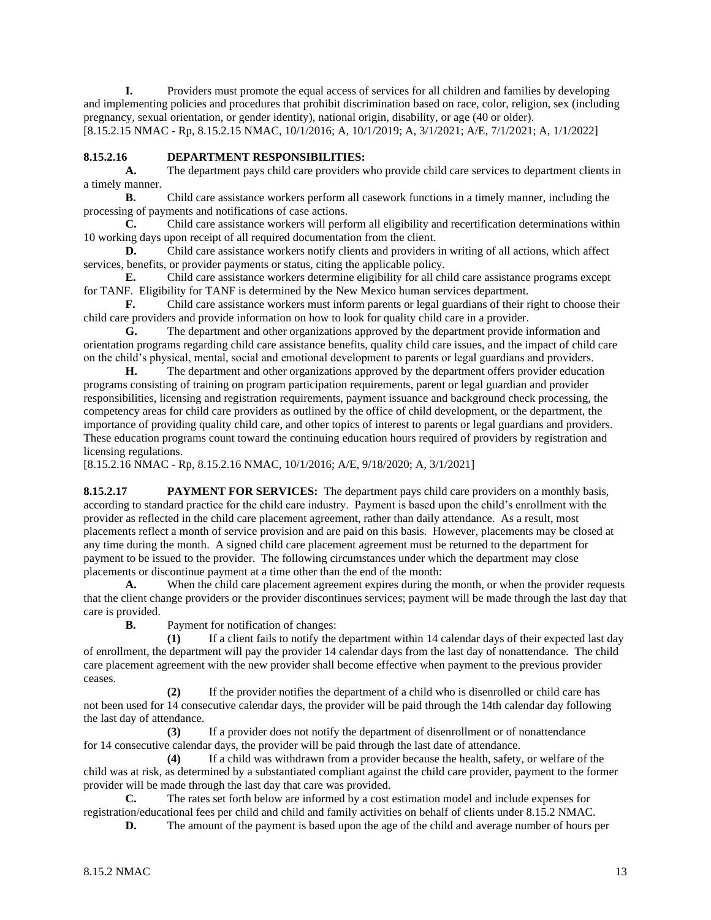**I.** Providers must promote the equal access of services for all children and families by developing and implementing policies and procedures that prohibit discrimination based on race, color, religion, sex (including pregnancy, sexual orientation, or gender identity), national origin, disability, or age (40 or older). [8.15.2.15 NMAC - Rp, 8.15.2.15 NMAC, 10/1/2016; A, 10/1/2019; A, 3/1/2021; A/E, 7/1/2021; A, 1/1/2022]

## **8.15.2.16 DEPARTMENT RESPONSIBILITIES:**

**A.** The department pays child care providers who provide child care services to department clients in a timely manner.

**B.** Child care assistance workers perform all casework functions in a timely manner, including the processing of payments and notifications of case actions.

**C.** Child care assistance workers will perform all eligibility and recertification determinations within 10 working days upon receipt of all required documentation from the client.

**D.** Child care assistance workers notify clients and providers in writing of all actions, which affect services, benefits, or provider payments or status, citing the applicable policy.

**E.** Child care assistance workers determine eligibility for all child care assistance programs except for TANF. Eligibility for TANF is determined by the New Mexico human services department.

**F.** Child care assistance workers must inform parents or legal guardians of their right to choose their child care providers and provide information on how to look for quality child care in a provider.

**G.** The department and other organizations approved by the department provide information and orientation programs regarding child care assistance benefits, quality child care issues, and the impact of child care on the child's physical, mental, social and emotional development to parents or legal guardians and providers.

**H.** The department and other organizations approved by the department offers provider education programs consisting of training on program participation requirements, parent or legal guardian and provider responsibilities, licensing and registration requirements, payment issuance and background check processing, the competency areas for child care providers as outlined by the office of child development, or the department, the importance of providing quality child care, and other topics of interest to parents or legal guardians and providers. These education programs count toward the continuing education hours required of providers by registration and licensing regulations.

[8.15.2.16 NMAC - Rp, 8.15.2.16 NMAC, 10/1/2016; A/E, 9/18/2020; A, 3/1/2021]

**8.15.2.17 PAYMENT FOR SERVICES:** The department pays child care providers on a monthly basis, according to standard practice for the child care industry. Payment is based upon the child's enrollment with the provider as reflected in the child care placement agreement, rather than daily attendance. As a result, most placements reflect a month of service provision and are paid on this basis. However, placements may be closed at any time during the month. A signed child care placement agreement must be returned to the department for payment to be issued to the provider. The following circumstances under which the department may close placements or discontinue payment at a time other than the end of the month:

**A.** When the child care placement agreement expires during the month, or when the provider requests that the client change providers or the provider discontinues services; payment will be made through the last day that care is provided.

**B.** Payment for notification of changes:

**(1)** If a client fails to notify the department within 14 calendar days of their expected last day of enrollment, the department will pay the provider 14 calendar days from the last day of nonattendance. The child care placement agreement with the new provider shall become effective when payment to the previous provider ceases.

**(2)** If the provider notifies the department of a child who is disenrolled or child care has not been used for 14 consecutive calendar days, the provider will be paid through the 14th calendar day following the last day of attendance.

**(3)** If a provider does not notify the department of disenrollment or of nonattendance for 14 consecutive calendar days, the provider will be paid through the last date of attendance.

**(4)** If a child was withdrawn from a provider because the health, safety, or welfare of the child was at risk, as determined by a substantiated compliant against the child care provider, payment to the former provider will be made through the last day that care was provided.

**C.** The rates set forth below are informed by a cost estimation model and include expenses for registration/educational fees per child and child and family activities on behalf of clients under 8.15.2 NMAC.

**D.** The amount of the payment is based upon the age of the child and average number of hours per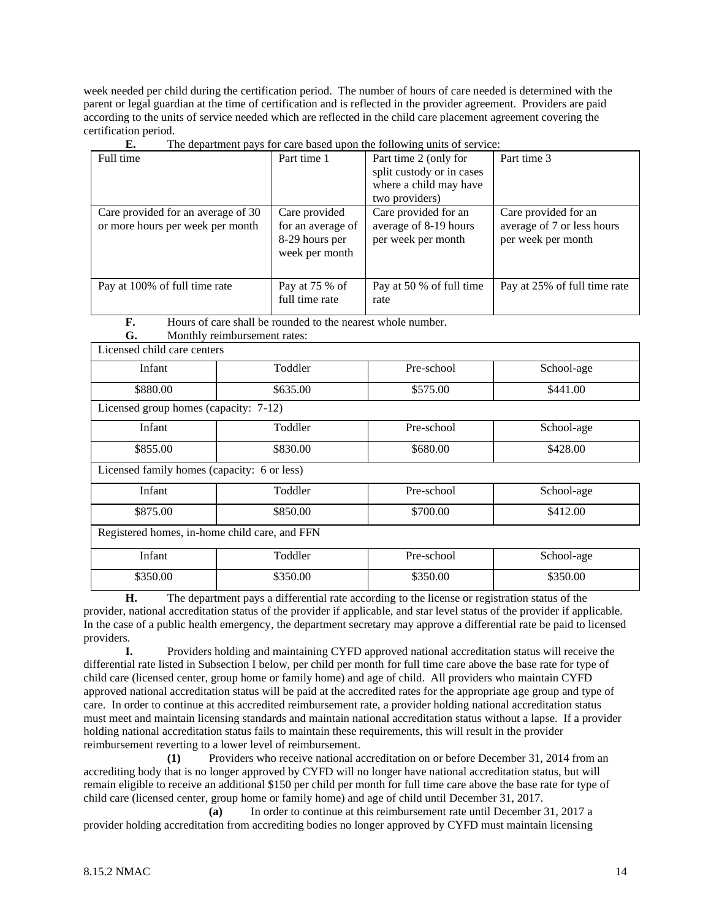week needed per child during the certification period. The number of hours of care needed is determined with the parent or legal guardian at the time of certification and is reflected in the provider agreement. Providers are paid according to the units of service needed which are reflected in the child care placement agreement covering the certification period.<br> **E** Theory

| . .                                                                    |                                                                        | The appartment pays for early based apon the following units of service. |                                                                          |
|------------------------------------------------------------------------|------------------------------------------------------------------------|--------------------------------------------------------------------------|--------------------------------------------------------------------------|
| Full time                                                              | Part time 1                                                            | Part time 2 (only for<br>split custody or in cases                       | Part time 3                                                              |
|                                                                        |                                                                        | where a child may have                                                   |                                                                          |
|                                                                        |                                                                        | two providers)                                                           |                                                                          |
| Care provided for an average of 30<br>or more hours per week per month | Care provided<br>for an average of<br>8-29 hours per<br>week per month | Care provided for an<br>average of 8-19 hours<br>per week per month      | Care provided for an<br>average of 7 or less hours<br>per week per month |
| Pay at 100% of full time rate                                          | Pay at 75 % of<br>full time rate                                       | Pay at 50 % of full time<br>rate                                         | Pay at 25% of full time rate                                             |

**E.** The department pays for care based upon the following units of service:

**F.** Hours of care shall be rounded to the nearest whole number.

| G.                                            | Monthly reimbursement rates: |            |            |
|-----------------------------------------------|------------------------------|------------|------------|
| Licensed child care centers                   |                              |            |            |
| Infant                                        | Toddler                      | Pre-school | School-age |
| \$880.00                                      | \$635.00                     | \$575.00   | \$441.00   |
| Licensed group homes (capacity: 7-12)         |                              |            |            |
| Infant                                        | Toddler                      | Pre-school | School-age |
| \$855.00                                      | \$830.00                     | \$680.00   | \$428.00   |
| Licensed family homes (capacity: 6 or less)   |                              |            |            |
| Infant                                        | Toddler                      | Pre-school | School-age |
| \$875.00                                      | \$850.00                     | \$700.00   | \$412.00   |
| Registered homes, in-home child care, and FFN |                              |            |            |
| Infant                                        | Toddler                      | Pre-school | School-age |
| \$350.00                                      | \$350.00                     | \$350.00   | \$350.00   |

**H.** The department pays a differential rate according to the license or registration status of the provider, national accreditation status of the provider if applicable, and star level status of the provider if applicable. In the case of a public health emergency, the department secretary may approve a differential rate be paid to licensed providers.

**I.** Providers holding and maintaining CYFD approved national accreditation status will receive the differential rate listed in Subsection I below, per child per month for full time care above the base rate for type of child care (licensed center, group home or family home) and age of child. All providers who maintain CYFD approved national accreditation status will be paid at the accredited rates for the appropriate age group and type of care. In order to continue at this accredited reimbursement rate, a provider holding national accreditation status must meet and maintain licensing standards and maintain national accreditation status without a lapse. If a provider holding national accreditation status fails to maintain these requirements, this will result in the provider reimbursement reverting to a lower level of reimbursement.

**(1)** Providers who receive national accreditation on or before December 31, 2014 from an accrediting body that is no longer approved by CYFD will no longer have national accreditation status, but will remain eligible to receive an additional \$150 per child per month for full time care above the base rate for type of child care (licensed center, group home or family home) and age of child until December 31, 2017.

**(a)** In order to continue at this reimbursement rate until December 31, 2017 a provider holding accreditation from accrediting bodies no longer approved by CYFD must maintain licensing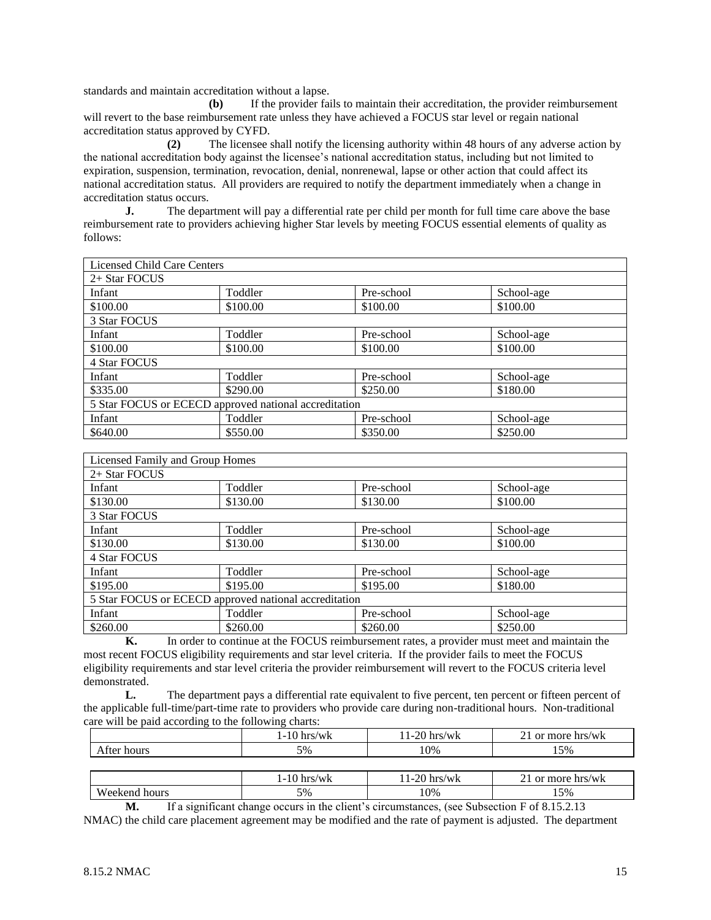standards and maintain accreditation without a lapse.

**(b)** If the provider fails to maintain their accreditation, the provider reimbursement will revert to the base reimbursement rate unless they have achieved a FOCUS star level or regain national accreditation status approved by CYFD.

**(2)** The licensee shall notify the licensing authority within 48 hours of any adverse action by the national accreditation body against the licensee's national accreditation status, including but not limited to expiration, suspension, termination, revocation, denial, nonrenewal, lapse or other action that could affect its national accreditation status. All providers are required to notify the department immediately when a change in accreditation status occurs.

**J.** The department will pay a differential rate per child per month for full time care above the base reimbursement rate to providers achieving higher Star levels by meeting FOCUS essential elements of quality as follows:

| <b>Licensed Child Care Centers</b>                    |          |            |            |  |
|-------------------------------------------------------|----------|------------|------------|--|
| 2+ Star FOCUS                                         |          |            |            |  |
| Infant                                                | Toddler  | Pre-school | School-age |  |
| \$100.00                                              | \$100.00 | \$100.00   | \$100.00   |  |
| 3 Star FOCUS                                          |          |            |            |  |
| Infant                                                | Toddler  | Pre-school | School-age |  |
| \$100.00                                              | \$100.00 | \$100.00   | \$100.00   |  |
| 4 Star FOCUS                                          |          |            |            |  |
| Infant                                                | Toddler  | Pre-school | School-age |  |
| \$335.00                                              | \$290.00 | \$250.00   | \$180.00   |  |
| 5 Star FOCUS or ECECD approved national accreditation |          |            |            |  |
| Infant                                                | Toddler  | Pre-school | School-age |  |
| \$640.00                                              | \$550.00 | \$350.00   | \$250.00   |  |

| Licensed Family and Group Homes                       |          |            |            |  |  |
|-------------------------------------------------------|----------|------------|------------|--|--|
| 2+ Star FOCUS                                         |          |            |            |  |  |
| Infant                                                | Toddler  | Pre-school | School-age |  |  |
| \$130.00                                              | \$130.00 | \$130.00   | \$100.00   |  |  |
| 3 Star FOCUS                                          |          |            |            |  |  |
| Infant                                                | Toddler  | Pre-school | School-age |  |  |
| \$130.00                                              | \$130.00 | \$130.00   | \$100.00   |  |  |
| 4 Star FOCUS                                          |          |            |            |  |  |
| Infant                                                | Toddler  | Pre-school | School-age |  |  |
| \$195.00                                              | \$195.00 | \$195.00   | \$180.00   |  |  |
| 5 Star FOCUS or ECECD approved national accreditation |          |            |            |  |  |
| Infant                                                | Toddler  | Pre-school | School-age |  |  |
| \$260.00                                              | \$260.00 | \$260.00   | \$250.00   |  |  |

**K.** In order to continue at the FOCUS reimbursement rates, a provider must meet and maintain the most recent FOCUS eligibility requirements and star level criteria. If the provider fails to meet the FOCUS eligibility requirements and star level criteria the provider reimbursement will revert to the FOCUS criteria level demonstrated.

**L.** The department pays a differential rate equivalent to five percent, ten percent or fifteen percent of the applicable full-time/part-time rate to providers who provide care during non-traditional hours. Non-traditional care will be paid according to the following charts:

|             | $1-10$ hrs/wk | 11-20 hrs/wk | 21 or more hrs/wk |
|-------------|---------------|--------------|-------------------|
| After hours | 5%            | 10%          | 15%               |
|             |               |              |                   |
|             | 1-10 hrs/wk   | 11-20 hrs/wk | 21 or more hrs/wk |

|                                                                                                    |               | 1 1 U 111 3/88 N | $11 \angle 0 \ln 37$ W N | $21 \, \text{or} \, \text{mod} \, \text{mod} \, \text{mod}$ |
|----------------------------------------------------------------------------------------------------|---------------|------------------|--------------------------|-------------------------------------------------------------|
|                                                                                                    | Weekend hours | 5%               | 10%                      | .5%                                                         |
| If a significant change occurs in the client's circumstances, (see Subsection F of 8.15.2.13<br>М. |               |                  |                          |                                                             |

NMAC) the child care placement agreement may be modified and the rate of payment is adjusted. The department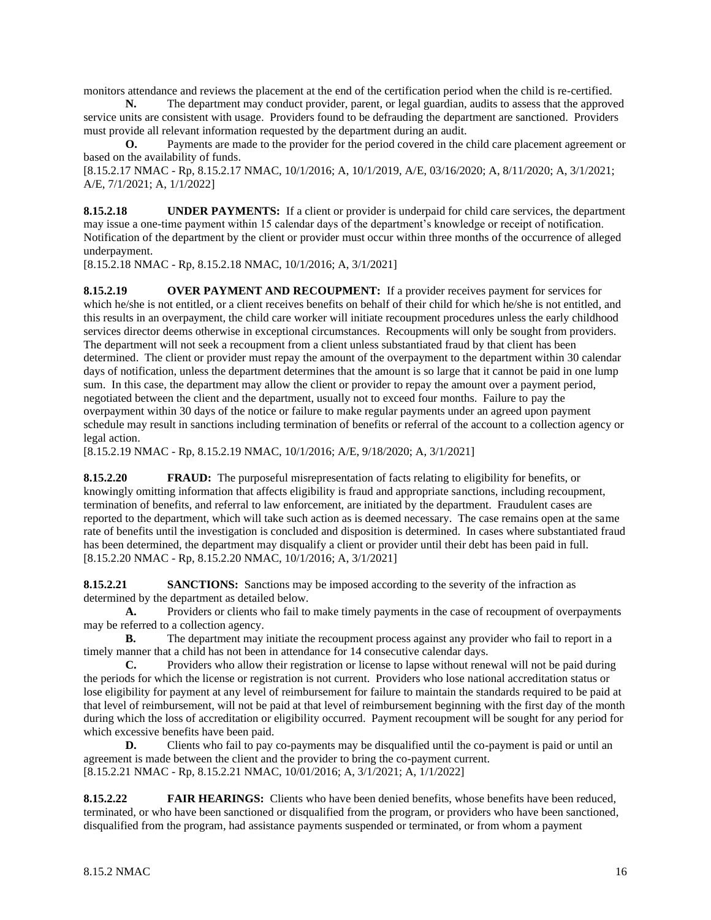monitors attendance and reviews the placement at the end of the certification period when the child is re-certified.

**N.** The department may conduct provider, parent, or legal guardian, audits to assess that the approved service units are consistent with usage. Providers found to be defrauding the department are sanctioned. Providers must provide all relevant information requested by the department during an audit.

**O.** Payments are made to the provider for the period covered in the child care placement agreement or based on the availability of funds.

[8.15.2.17 NMAC - Rp, 8.15.2.17 NMAC, 10/1/2016; A, 10/1/2019, A/E, 03/16/2020; A, 8/11/2020; A, 3/1/2021; A/E, 7/1/2021; A, 1/1/2022]

**8.15.2.18 UNDER PAYMENTS:** If a client or provider is underpaid for child care services, the department may issue a one-time payment within 15 calendar days of the department's knowledge or receipt of notification. Notification of the department by the client or provider must occur within three months of the occurrence of alleged underpayment.

[8.15.2.18 NMAC - Rp, 8.15.2.18 NMAC, 10/1/2016; A, 3/1/2021]

**8.15.2.19 OVER PAYMENT AND RECOUPMENT:** If a provider receives payment for services for which he/she is not entitled, or a client receives benefits on behalf of their child for which he/she is not entitled, and this results in an overpayment, the child care worker will initiate recoupment procedures unless the early childhood services director deems otherwise in exceptional circumstances. Recoupments will only be sought from providers. The department will not seek a recoupment from a client unless substantiated fraud by that client has been determined. The client or provider must repay the amount of the overpayment to the department within 30 calendar days of notification, unless the department determines that the amount is so large that it cannot be paid in one lump sum. In this case, the department may allow the client or provider to repay the amount over a payment period, negotiated between the client and the department, usually not to exceed four months. Failure to pay the overpayment within 30 days of the notice or failure to make regular payments under an agreed upon payment schedule may result in sanctions including termination of benefits or referral of the account to a collection agency or legal action.

[8.15.2.19 NMAC - Rp, 8.15.2.19 NMAC, 10/1/2016; A/E, 9/18/2020; A, 3/1/2021]

**8.15.2.20 FRAUD:** The purposeful misrepresentation of facts relating to eligibility for benefits, or knowingly omitting information that affects eligibility is fraud and appropriate sanctions, including recoupment, termination of benefits, and referral to law enforcement, are initiated by the department. Fraudulent cases are reported to the department, which will take such action as is deemed necessary. The case remains open at the same rate of benefits until the investigation is concluded and disposition is determined. In cases where substantiated fraud has been determined, the department may disqualify a client or provider until their debt has been paid in full.  $[8.15.2.20 \text{ NMAC} - \text{Rp}, 8.15.2.20 \text{ NMAC}, 10/1/2016; \text{A}, 3/1/2021]$ 

**8.15.2.21 SANCTIONS:** Sanctions may be imposed according to the severity of the infraction as determined by the department as detailed below.

**A.** Providers or clients who fail to make timely payments in the case of recoupment of overpayments may be referred to a collection agency.

**B.** The department may initiate the recoupment process against any provider who fail to report in a timely manner that a child has not been in attendance for 14 consecutive calendar days.

**C.** Providers who allow their registration or license to lapse without renewal will not be paid during the periods for which the license or registration is not current. Providers who lose national accreditation status or lose eligibility for payment at any level of reimbursement for failure to maintain the standards required to be paid at that level of reimbursement, will not be paid at that level of reimbursement beginning with the first day of the month during which the loss of accreditation or eligibility occurred. Payment recoupment will be sought for any period for which excessive benefits have been paid.

**D.** Clients who fail to pay co-payments may be disqualified until the co-payment is paid or until an agreement is made between the client and the provider to bring the co-payment current. [8.15.2.21 NMAC - Rp, 8.15.2.21 NMAC, 10/01/2016; A, 3/1/2021; A, 1/1/2022]

**8.15.2.22 FAIR HEARINGS:** Clients who have been denied benefits, whose benefits have been reduced, terminated, or who have been sanctioned or disqualified from the program, or providers who have been sanctioned, disqualified from the program, had assistance payments suspended or terminated, or from whom a payment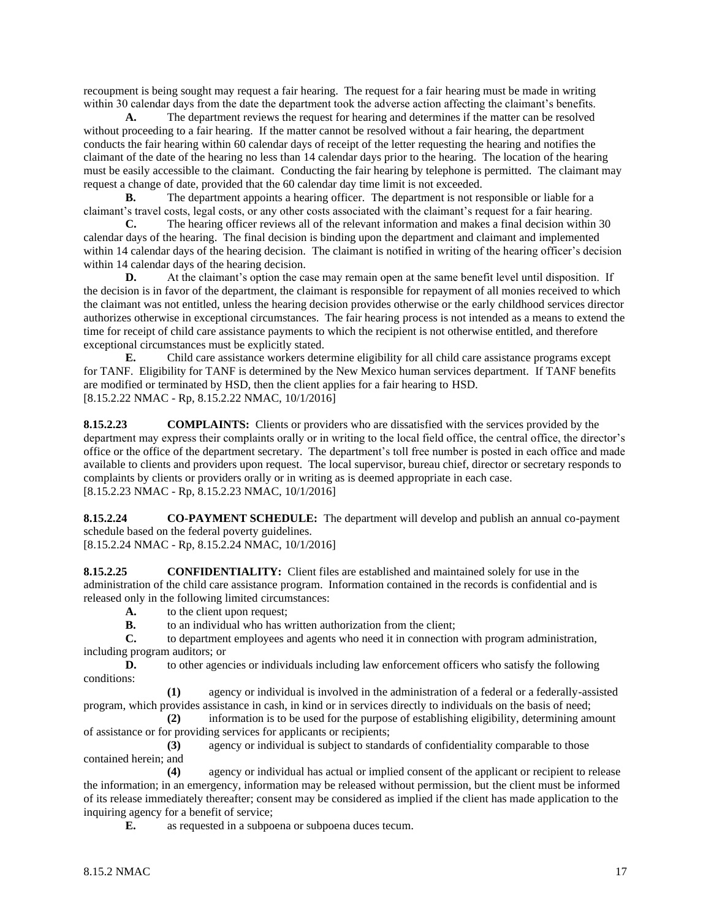recoupment is being sought may request a fair hearing. The request for a fair hearing must be made in writing within 30 calendar days from the date the department took the adverse action affecting the claimant's benefits.

**A.** The department reviews the request for hearing and determines if the matter can be resolved without proceeding to a fair hearing. If the matter cannot be resolved without a fair hearing, the department conducts the fair hearing within 60 calendar days of receipt of the letter requesting the hearing and notifies the claimant of the date of the hearing no less than 14 calendar days prior to the hearing. The location of the hearing must be easily accessible to the claimant. Conducting the fair hearing by telephone is permitted. The claimant may request a change of date, provided that the 60 calendar day time limit is not exceeded.

**B.** The department appoints a hearing officer. The department is not responsible or liable for a claimant's travel costs, legal costs, or any other costs associated with the claimant's request for a fair hearing.

**C.** The hearing officer reviews all of the relevant information and makes a final decision within 30 calendar days of the hearing. The final decision is binding upon the department and claimant and implemented within 14 calendar days of the hearing decision. The claimant is notified in writing of the hearing officer's decision within 14 calendar days of the hearing decision.

**D.** At the claimant's option the case may remain open at the same benefit level until disposition. If the decision is in favor of the department, the claimant is responsible for repayment of all monies received to which the claimant was not entitled, unless the hearing decision provides otherwise or the early childhood services director authorizes otherwise in exceptional circumstances. The fair hearing process is not intended as a means to extend the time for receipt of child care assistance payments to which the recipient is not otherwise entitled, and therefore exceptional circumstances must be explicitly stated.

**E.** Child care assistance workers determine eligibility for all child care assistance programs except for TANF. Eligibility for TANF is determined by the New Mexico human services department. If TANF benefits are modified or terminated by HSD, then the client applies for a fair hearing to HSD. [8.15.2.22 NMAC - Rp, 8.15.2.22 NMAC, 10/1/2016]

**8.15.2.23 COMPLAINTS:** Clients or providers who are dissatisfied with the services provided by the department may express their complaints orally or in writing to the local field office, the central office, the director's office or the office of the department secretary. The department's toll free number is posted in each office and made available to clients and providers upon request. The local supervisor, bureau chief, director or secretary responds to complaints by clients or providers orally or in writing as is deemed appropriate in each case. [8.15.2.23 NMAC - Rp, 8.15.2.23 NMAC, 10/1/2016]

**8.15.2.24 CO-PAYMENT SCHEDULE:** The department will develop and publish an annual co-payment schedule based on the federal poverty guidelines.

[8.15.2.24 NMAC - Rp, 8.15.2.24 NMAC, 10/1/2016]

**8.15.2.25 CONFIDENTIALITY:** Client files are established and maintained solely for use in the administration of the child care assistance program. Information contained in the records is confidential and is released only in the following limited circumstances:

**A.** to the client upon request;

**B.** to an individual who has written authorization from the client;

**C.** to department employees and agents who need it in connection with program administration, including program auditors; or

**D.** to other agencies or individuals including law enforcement officers who satisfy the following conditions:

**(1)** agency or individual is involved in the administration of a federal or a federally-assisted program, which provides assistance in cash, in kind or in services directly to individuals on the basis of need;

**(2)** information is to be used for the purpose of establishing eligibility, determining amount of assistance or for providing services for applicants or recipients;

**(3)** agency or individual is subject to standards of confidentiality comparable to those contained herein; and

**(4)** agency or individual has actual or implied consent of the applicant or recipient to release the information; in an emergency, information may be released without permission, but the client must be informed of its release immediately thereafter; consent may be considered as implied if the client has made application to the inquiring agency for a benefit of service;

**E.** as requested in a subpoena or subpoena duces tecum.